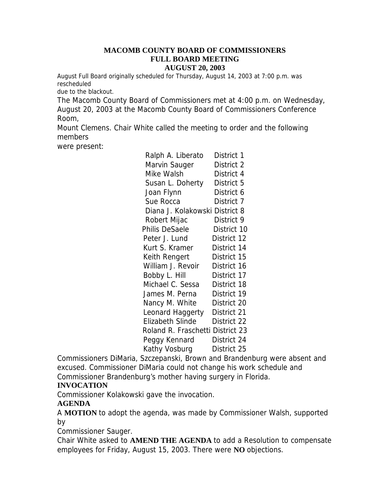#### **MACOMB COUNTY BOARD OF COMMISSIONERS FULL BOARD MEETING AUGUST 20, 2003**

August Full Board originally scheduled for Thursday, August 14, 2003 at 7:00 p.m. was rescheduled

due to the blackout.

The Macomb County Board of Commissioners met at 4:00 p.m. on Wednesday,

August 20, 2003 at the Macomb County Board of Commissioners Conference Room,

Mount Clemens. Chair White called the meeting to order and the following members

were present:

| Ralph A. Liberato                | District 1  |
|----------------------------------|-------------|
| Marvin Sauger                    | District 2  |
| Mike Walsh                       | District 4  |
| Susan L. Doherty                 | District 5  |
| Joan Flynn                       | District 6  |
| Sue Rocca                        | District 7  |
| Diana J. Kolakowski District 8   |             |
| Robert Mijac                     | District 9  |
| <b>Philis DeSaele</b>            | District 10 |
| Peter J. Lund                    | District 12 |
| Kurt S. Kramer                   | District 14 |
| Keith Rengert                    | District 15 |
| William J. Revoir                | District 16 |
| Bobby L. Hill                    | District 17 |
| Michael C. Sessa                 | District 18 |
| James M. Perna                   | District 19 |
| Nancy M. White                   | District 20 |
| Leonard Haggerty                 | District 21 |
| <b>Elizabeth Slinde</b>          | District 22 |
| Roland R. Fraschetti District 23 |             |
| Peggy Kennard                    | District 24 |
| Kathy Vosburg                    | District 25 |
|                                  |             |

Commissioners DiMaria, Szczepanski, Brown and Brandenburg were absent and excused. Commissioner DiMaria could not change his work schedule and Commissioner Brandenburg's mother having surgery in Florida.

### **INVOCATION**

Commissioner Kolakowski gave the invocation.

### **AGENDA**

A **MOTION** to adopt the agenda, was made by Commissioner Walsh, supported by

Commissioner Sauger.

Chair White asked to **AMEND THE AGENDA** to add a Resolution to compensate employees for Friday, August 15, 2003. There were **NO** objections.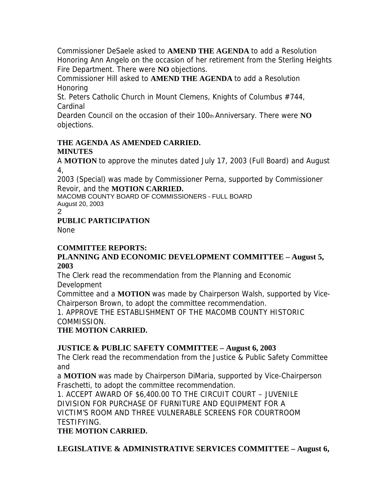Commissioner DeSaele asked to **AMEND THE AGENDA** to add a Resolution Honoring Ann Angelo on the occasion of her retirement from the Sterling Heights Fire Department. There were **NO** objections.

Commissioner Hill asked to **AMEND THE AGENDA** to add a Resolution Honoring

St. Peters Catholic Church in Mount Clemens, Knights of Columbus #744, Cardinal

Dearden Council on the occasion of their 100th Anniversary. There were **NO**  objections.

#### **THE AGENDA AS AMENDED CARRIED. MINUTES**

A **MOTION** to approve the minutes dated July 17, 2003 (Full Board) and August 4,

2003 (Special) was made by Commissioner Perna, supported by Commissioner Revoir, and the **MOTION CARRIED.** 

MACOMB COUNTY BOARD OF COMMISSIONERS - FULL BOARD August 20, 2003

2

## **PUBLIC PARTICIPATION**

None

# **COMMITTEE REPORTS:**

## **PLANNING AND ECONOMIC DEVELOPMENT COMMITTEE – August 5, 2003**

The Clerk read the recommendation from the Planning and Economic Development

Committee and a **MOTION** was made by Chairperson Walsh, supported by Vice-Chairperson Brown, to adopt the committee recommendation.

## 1. APPROVE THE ESTABLISHMENT OF THE MACOMB COUNTY HISTORIC COMMISSION.

# **THE MOTION CARRIED.**

# **JUSTICE & PUBLIC SAFETY COMMITTEE – August 6, 2003**

The Clerk read the recommendation from the Justice & Public Safety Committee and

a **MOTION** was made by Chairperson DiMaria, supported by Vice-Chairperson Fraschetti, to adopt the committee recommendation.

1. ACCEPT AWARD OF \$6,400.00 TO THE CIRCUIT COURT – JUVENILE DIVISION FOR PURCHASE OF FURNITURE AND EQUIPMENT FOR A VICTIM'S ROOM AND THREE VULNERABLE SCREENS FOR COURTROOM TESTIFYING.

# **THE MOTION CARRIED.**

**LEGISLATIVE & ADMINISTRATIVE SERVICES COMMITTEE – August 6,**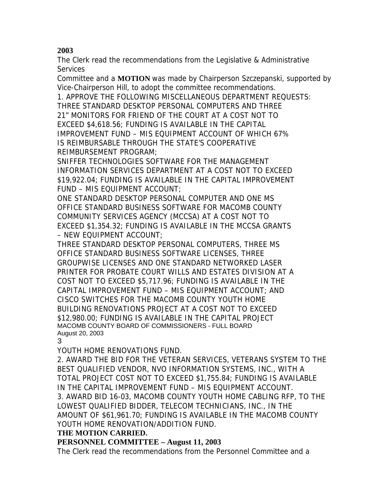# **2003**

The Clerk read the recommendations from the Legislative & Administrative Services

Committee and a **MOTION** was made by Chairperson Szczepanski, supported by Vice-Chairperson Hill, to adopt the committee recommendations.

1. APPROVE THE FOLLOWING MISCELLANEOUS DEPARTMENT REQUESTS: THREE STANDARD DESKTOP PERSONAL COMPUTERS AND THREE 21" MONITORS FOR FRIEND OF THE COURT AT A COST NOT TO EXCEED \$4,618.56; FUNDING IS AVAILABLE IN THE CAPITAL IMPROVEMENT FUND – MIS EQUIPMENT ACCOUNT OF WHICH 67% IS REIMBURSABLE THROUGH THE STATE'S COOPERATIVE REIMBURSEMENT PROGRAM;

SNIFFER TECHNOLOGIES SOFTWARE FOR THE MANAGEMENT INFORMATION SERVICES DEPARTMENT AT A COST NOT TO EXCEED \$19,922.04; FUNDING IS AVAILABLE IN THE CAPITAL IMPROVEMENT FUND – MIS EQUIPMENT ACCOUNT;

ONE STANDARD DESKTOP PERSONAL COMPUTER AND ONE MS OFFICE STANDARD BUSINESS SOFTWARE FOR MACOMB COUNTY COMMUNITY SERVICES AGENCY (MCCSA) AT A COST NOT TO EXCEED \$1,354.32; FUNDING IS AVAILABLE IN THE MCCSA GRANTS – NEW EQUIPMENT ACCOUNT;

THREE STANDARD DESKTOP PERSONAL COMPUTERS, THREE MS OFFICE STANDARD BUSINESS SOFTWARE LICENSES, THREE GROUPWISE LICENSES AND ONE STANDARD NETWORKED LASER PRINTER FOR PROBATE COURT WILLS AND ESTATES DIVISION AT A COST NOT TO EXCEED \$5,717.96; FUNDING IS AVAILABLE IN THE CAPITAL IMPROVEMENT FUND – MIS EQUIPMENT ACCOUNT; AND CISCO SWITCHES FOR THE MACOMB COUNTY YOUTH HOME BUILDING RENOVATIONS PROJECT AT A COST NOT TO EXCEED \$12,980.00; FUNDING IS AVAILABLE IN THE CAPITAL PROJECT MACOMB COUNTY BOARD OF COMMISSIONERS - FULL BOARD August 20, 2003

3

YOUTH HOME RENOVATIONS FUND.

2. AWARD THE BID FOR THE VETERAN SERVICES, VETERANS SYSTEM TO THE BEST QUALIFIED VENDOR, NVO INFORMATION SYSTEMS, INC., WITH A TOTAL PROJECT COST NOT TO EXCEED \$1,755.84; FUNDING IS AVAILABLE IN THE CAPITAL IMPROVEMENT FUND – MIS EQUIPMENT ACCOUNT. 3. AWARD BID 16-03, MACOMB COUNTY YOUTH HOME CABLING RFP, TO THE LOWEST QUALIFIED BIDDER, TELECOM TECHNICIANS, INC., IN THE AMOUNT OF \$61,961.70; FUNDING IS AVAILABLE IN THE MACOMB COUNTY YOUTH HOME RENOVATION/ADDITION FUND.

### **THE MOTION CARRIED.**

## **PERSONNEL COMMITTEE – August 11, 2003**

The Clerk read the recommendations from the Personnel Committee and a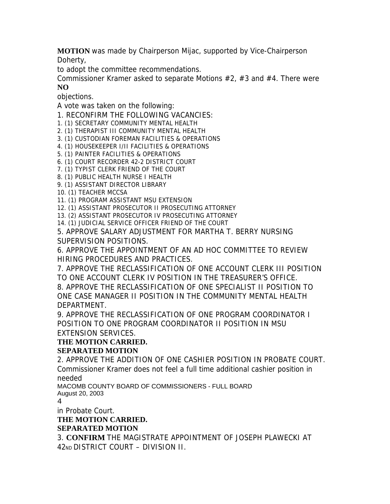**MOTION** was made by Chairperson Mijac, supported by Vice-Chairperson Doherty,

to adopt the committee recommendations.

Commissioner Kramer asked to separate Motions #2, #3 and #4. There were **NO** 

objections.

A vote was taken on the following:

1. RECONFIRM THE FOLLOWING VACANCIES:

1. (1) SECRETARY COMMUNITY MENTAL HEALTH

2. (1) THERAPIST III COMMUNITY MENTAL HEALTH

3. (1) CUSTODIAN FOREMAN FACILITIES & OPERATIONS

4. (1) HOUSEKEEPER I/II FACILITIES & OPERATIONS

5. (1) PAINTER FACILITIES & OPERATIONS

6. (1) COURT RECORDER 42-2 DISTRICT COURT

7. (1) TYPIST CLERK FRIEND OF THE COURT

8. (1) PUBLIC HEALTH NURSE I HEALTH

9. (1) ASSISTANT DIRECTOR LIBRARY

10. (1) TEACHER MCCSA

11. (1) PROGRAM ASSISTANT MSU EXTENSION

12. (1) ASSISTANT PROSECUTOR II PROSECUTING ATTORNEY

13. (2) ASSISTANT PROSECUTOR IV PROSECUTING ATTORNEY

14. (1) JUDICIAL SERVICE OFFICER FRIEND OF THE COURT

5. APPROVE SALARY ADJUSTMENT FOR MARTHA T. BERRY NURSING SUPERVISION POSITIONS.

6. APPROVE THE APPOINTMENT OF AN AD HOC COMMITTEE TO REVIEW HIRING PROCEDURES AND PRACTICES.

7. APPROVE THE RECLASSIFICATION OF ONE ACCOUNT CLERK III POSITION TO ONE ACCOUNT CLERK IV POSITION IN THE TREASURER'S OFFICE.

8. APPROVE THE RECLASSIFICATION OF ONE SPECIALIST II POSITION TO ONE CASE MANAGER II POSITION IN THE COMMUNITY MENTAL HEALTH DEPARTMENT.

9. APPROVE THE RECLASSIFICATION OF ONE PROGRAM COORDINATOR I POSITION TO ONE PROGRAM COORDINATOR II POSITION IN MSU EXTENSION SERVICES.

### **THE MOTION CARRIED.**

### **SEPARATED MOTION**

2. APPROVE THE ADDITION OF ONE CASHIER POSITION IN PROBATE COURT. Commissioner Kramer does not feel a full time additional cashier position in needed

MACOMB COUNTY BOARD OF COMMISSIONERS - FULL BOARD August 20, 2003

4

in Probate Court.

## **THE MOTION CARRIED.**

## **SEPARATED MOTION**

3. **CONFIRM** THE MAGISTRATE APPOINTMENT OF JOSEPH PLAWECKI AT 42ND DISTRICT COURT – DIVISION II.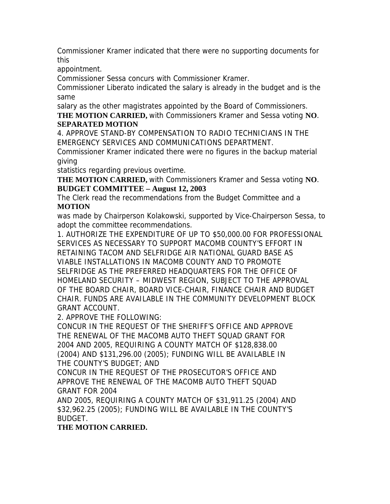Commissioner Kramer indicated that there were no supporting documents for this

appointment.

Commissioner Sessa concurs with Commissioner Kramer.

Commissioner Liberato indicated the salary is already in the budget and is the same

salary as the other magistrates appointed by the Board of Commissioners.

**THE MOTION CARRIED,** with Commissioners Kramer and Sessa voting **NO**. **SEPARATED MOTION** 

4. APPROVE STAND-BY COMPENSATION TO RADIO TECHNICIANS IN THE EMERGENCY SERVICES AND COMMUNICATIONS DEPARTMENT.

Commissioner Kramer indicated there were no figures in the backup material giving

statistics regarding previous overtime.

**THE MOTION CARRIED,** with Commissioners Kramer and Sessa voting **NO**. **BUDGET COMMITTEE – August 12, 2003** 

The Clerk read the recommendations from the Budget Committee and a **MOTION** 

was made by Chairperson Kolakowski, supported by Vice-Chairperson Sessa, to adopt the committee recommendations.

1. AUTHORIZE THE EXPENDITURE OF UP TO \$50,000.00 FOR PROFESSIONAL SERVICES AS NECESSARY TO SUPPORT MACOMB COUNTY'S EFFORT IN RETAINING TACOM AND SELFRIDGE AIR NATIONAL GUARD BASE AS VIABLE INSTALLATIONS IN MACOMB COUNTY AND TO PROMOTE SELFRIDGE AS THE PREFERRED HEADQUARTERS FOR THE OFFICE OF HOMELAND SECURITY – MIDWEST REGION, SUBJECT TO THE APPROVAL OF THE BOARD CHAIR, BOARD VICE-CHAIR, FINANCE CHAIR AND BUDGET CHAIR. FUNDS ARE AVAILABLE IN THE COMMUNITY DEVELOPMENT BLOCK GRANT ACCOUNT.

2. APPROVE THE FOLLOWING:

CONCUR IN THE REQUEST OF THE SHERIFF'S OFFICE AND APPROVE THE RENEWAL OF THE MACOMB AUTO THEFT SQUAD GRANT FOR 2004 AND 2005, REQUIRING A COUNTY MATCH OF \$128,838.00 (2004) AND \$131,296.00 (2005); FUNDING WILL BE AVAILABLE IN THE COUNTY'S BUDGET; AND

CONCUR IN THE REQUEST OF THE PROSECUTOR'S OFFICE AND APPROVE THE RENEWAL OF THE MACOMB AUTO THEFT SQUAD GRANT FOR 2004

AND 2005, REQUIRING A COUNTY MATCH OF \$31,911.25 (2004) AND \$32,962.25 (2005); FUNDING WILL BE AVAILABLE IN THE COUNTY'S BUDGET.

**THE MOTION CARRIED.**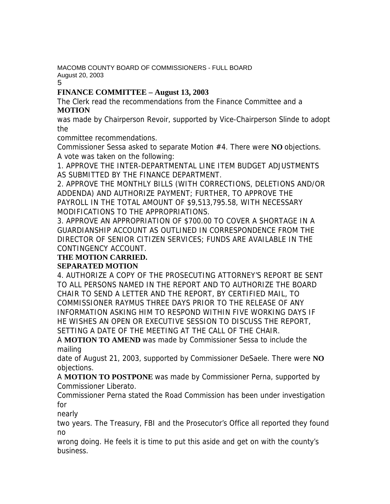MACOMB COUNTY BOARD OF COMMISSIONERS - FULL BOARD August 20, 2003

5

## **FINANCE COMMITTEE – August 13, 2003**

The Clerk read the recommendations from the Finance Committee and a **MOTION** 

was made by Chairperson Revoir, supported by Vice-Chairperson Slinde to adopt the

committee recommendations.

Commissioner Sessa asked to separate Motion #4. There were **NO** objections. A vote was taken on the following:

1. APPROVE THE INTER-DEPARTMENTAL LINE ITEM BUDGET ADJUSTMENTS AS SUBMITTED BY THE FINANCE DEPARTMENT.

2. APPROVE THE MONTHLY BILLS (WITH CORRECTIONS, DELETIONS AND/OR ADDENDA) AND AUTHORIZE PAYMENT; FURTHER, TO APPROVE THE PAYROLL IN THE TOTAL AMOUNT OF \$9,513,795.58, WITH NECESSARY MODIFICATIONS TO THE APPROPRIATIONS.

3. APPROVE AN APPROPRIATION OF \$700.00 TO COVER A SHORTAGE IN A GUARDIANSHIP ACCOUNT AS OUTLINED IN CORRESPONDENCE FROM THE DIRECTOR OF SENIOR CITIZEN SERVICES; FUNDS ARE AVAILABLE IN THE CONTINGENCY ACCOUNT.

## **THE MOTION CARRIED.**

## **SEPARATED MOTION**

4. AUTHORIZE A COPY OF THE PROSECUTING ATTORNEY'S REPORT BE SENT TO ALL PERSONS NAMED IN THE REPORT AND TO AUTHORIZE THE BOARD CHAIR TO SEND A LETTER AND THE REPORT, BY CERTIFIED MAIL, TO COMMISSIONER RAYMUS THREE DAYS PRIOR TO THE RELEASE OF ANY INFORMATION ASKING HIM TO RESPOND WITHIN FIVE WORKING DAYS IF HE WISHES AN OPEN OR EXECUTIVE SESSION TO DISCUSS THE REPORT, SETTING A DATE OF THE MEETING AT THE CALL OF THE CHAIR.

A **MOTION TO AMEND** was made by Commissioner Sessa to include the mailing

date of August 21, 2003, supported by Commissioner DeSaele. There were **NO**  objections.

A **MOTION TO POSTPONE** was made by Commissioner Perna, supported by Commissioner Liberato.

Commissioner Perna stated the Road Commission has been under investigation for

nearly

two years. The Treasury, FBI and the Prosecutor's Office all reported they found no

wrong doing. He feels it is time to put this aside and get on with the county's business.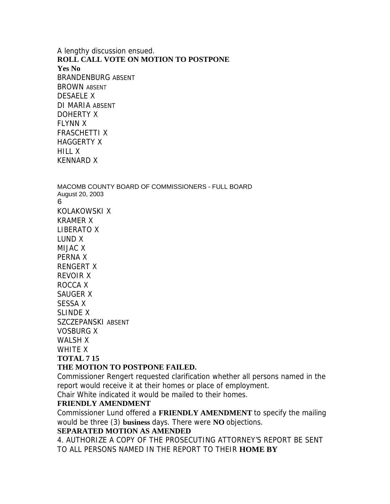A lengthy discussion ensued. **ROLL CALL VOTE ON MOTION TO POSTPONE Yes No**  BRANDENBURG ABSENT BROWN ABSENT DESAELE X DI MARIA ABSENT DOHERTY X FLYNN X FRASCHETTI X HAGGERTY X HILL X KENNARD X

MACOMB COUNTY BOARD OF COMMISSIONERS - FULL BOARD August 20, 2003 6 KOLAKOWSKI X KRAMER X LIBERATO X LUND X MIJAC X PERNA X RENGERT X REVOIR X ROCCA X SAUGER X SESSA X SLINDE X SZCZEPANSKI ABSENT VOSBURG X WALSH X WHITF **X** 

### **TOTAL 7 15**

#### **THE MOTION TO POSTPONE FAILED.**

Commissioner Rengert requested clarification whether all persons named in the report would receive it at their homes or place of employment.

Chair White indicated it would be mailed to their homes.

#### **FRIENDLY AMENDMENT**

Commissioner Lund offered a **FRIENDLY AMENDMENT** to specify the mailing would be three (3) **business** days. There were **NO** objections.

#### **SEPARATED MOTION AS AMENDED**

4. AUTHORIZE A COPY OF THE PROSECUTING ATTORNEY'S REPORT BE SENT TO ALL PERSONS NAMED IN THE REPORT TO THEIR **HOME BY**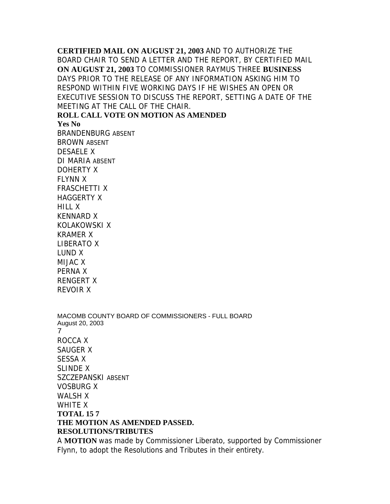**CERTIFIED MAIL ON AUGUST 21, 2003** AND TO AUTHORIZE THE BOARD CHAIR TO SEND A LETTER AND THE REPORT, BY CERTIFIED MAIL **ON AUGUST 21, 2003** TO COMMISSIONER RAYMUS THREE **BUSINESS**  DAYS PRIOR TO THE RELEASE OF ANY INFORMATION ASKING HIM TO RESPOND WITHIN FIVE WORKING DAYS IF HE WISHES AN OPEN OR EXECUTIVE SESSION TO DISCUSS THE REPORT, SETTING A DATE OF THE MEETING AT THE CALL OF THE CHAIR. **ROLL CALL VOTE ON MOTION AS AMENDED** 

**Yes No** 

BRANDENBURG ABSENT BROWN ABSENT DESAELE X DI MARIA ABSENT DOHERTY X FLYNN X FRASCHETTI X HAGGERTY X HILL X KENNARD X KOLAKOWSKI X KRAMER X LIBERATO X LUND X MIJAC X PERNA X RENGERT X REVOIR X

MACOMB COUNTY BOARD OF COMMISSIONERS - FULL BOARD August 20, 2003 7 ROCCA X SAUGER X SESSA X SLINDE X SZCZEPANSKI ABSENT VOSBURG X WALSH X WHITE X **TOTAL 15 7 THE MOTION AS AMENDED PASSED. RESOLUTIONS/TRIBUTES** 

A **MOTION** was made by Commissioner Liberato, supported by Commissioner Flynn, to adopt the Resolutions and Tributes in their entirety.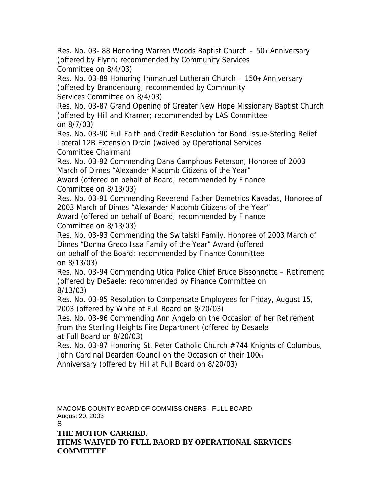Res. No. 03-88 Honoring Warren Woods Baptist Church – 50th Anniversary (offered by Flynn; recommended by Community Services Committee on 8/4/03)

Res. No. 03-89 Honoring Immanuel Lutheran Church – 150th Anniversary (offered by Brandenburg; recommended by Community Services Committee on 8/4/03)

Res. No. 03-87 Grand Opening of Greater New Hope Missionary Baptist Church (offered by Hill and Kramer; recommended by LAS Committee on 8/7/03)

Res. No. 03-90 Full Faith and Credit Resolution for Bond Issue-Sterling Relief Lateral 12B Extension Drain (waived by Operational Services Committee Chairman)

Res. No. 03-92 Commending Dana Camphous Peterson, Honoree of 2003 March of Dimes "Alexander Macomb Citizens of the Year"

Award (offered on behalf of Board; recommended by Finance Committee on 8/13/03)

Res. No. 03-91 Commending Reverend Father Demetrios Kavadas, Honoree of 2003 March of Dimes "Alexander Macomb Citizens of the Year"

Award (offered on behalf of Board; recommended by Finance Committee on 8/13/03)

Res. No. 03-93 Commending the Switalski Family, Honoree of 2003 March of Dimes "Donna Greco Issa Family of the Year" Award (offered on behalf of the Board; recommended by Finance Committee on 8/13/03)

Res. No. 03-94 Commending Utica Police Chief Bruce Bissonnette – Retirement (offered by DeSaele; recommended by Finance Committee on 8/13/03)

Res. No. 03-95 Resolution to Compensate Employees for Friday, August 15, 2003 (offered by White at Full Board on 8/20/03)

Res. No. 03-96 Commending Ann Angelo on the Occasion of her Retirement from the Sterling Heights Fire Department (offered by Desaele at Full Board on 8/20/03)

Res. No. 03-97 Honoring St. Peter Catholic Church #744 Knights of Columbus, John Cardinal Dearden Council on the Occasion of their 100th Anniversary (offered by Hill at Full Board on 8/20/03)

MACOMB COUNTY BOARD OF COMMISSIONERS - FULL BOARD August 20, 2003 8

**THE MOTION CARRIED**. **ITEMS WAIVED TO FULL BAORD BY OPERATIONAL SERVICES COMMITTEE**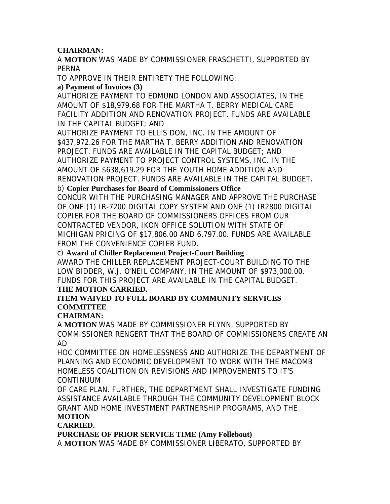### **CHAIRMAN:**

A **MOTION** WAS MADE BY COMMISSIONER FRASCHETTI, SUPPORTED BY PERNA

TO APPROVE IN THEIR ENTIRETY THE FOLLOWING:

### **a) Payment of Invoices (3)**

AUTHORIZE PAYMENT TO EDMUND LONDON AND ASSOCIATES, IN THE AMOUNT OF \$18,979.68 FOR THE MARTHA T. BERRY MEDICAL CARE FACILITY ADDITION AND RENOVATION PROJECT. FUNDS ARE AVAILABLE IN THE CAPITAL BUDGET; AND

AUTHORIZE PAYMENT TO ELLIS DON, INC. IN THE AMOUNT OF \$437,972.26 FOR THE MARTHA T. BERRY ADDITION AND RENOVATION PROJECT. FUNDS ARE AVAILABLE IN THE CAPITAL BUDGET; AND AUTHORIZE PAYMENT TO PROJECT CONTROL SYSTEMS, INC. IN THE AMOUNT OF \$638,619.29 FOR THE YOUTH HOME ADDITION AND RENOVATION PROJECT. FUNDS ARE AVAILABLE IN THE CAPITAL BUDGET.

### b) **Copier Purchases for Board of Commissioners Office**

CONCUR WITH THE PURCHASING MANAGER AND APPROVE THE PURCHASE OF ONE (1) IR-7200 DIGITAL COPY SYSTEM AND ONE (1) IR2800 DIGITAL COPIER FOR THE BOARD OF COMMISSIONERS OFFICES FROM OUR CONTRACTED VENDOR, IKON OFFICE SOLUTION WITH STATE OF MICHIGAN PRICING OF \$17,806.00 AND 6,797.00. FUNDS ARE AVAILABLE FROM THE CONVENIENCE COPIER FUND.

#### c) **Award of Chiller Replacement Project-Court Building**

AWARD THE CHILLER REPLACEMENT PROJECT-COURT BUILDING TO THE LOW BIDDER, W.J. O'NEIL COMPANY, IN THE AMOUNT OF \$973,000.00. FUNDS FOR THIS PROJECT ARE AVAILABLE IN THE CAPITAL BUDGET.

#### **THE MOTION CARRIED.**

### **ITEM WAIVED TO FULL BOARD BY COMMUNITY SERVICES COMMITTEE**

### **CHAIRMAN:**

A **MOTION** WAS MADE BY COMMISSIONER FLYNN, SUPPORTED BY COMMISSIONER RENGERT THAT THE BOARD OF COMMISSIONERS CREATE AN AD

HOC COMMITTEE ON HOMELESSNESS AND AUTHORIZE THE DEPARTMENT OF PLANNING AND ECONOMIC DEVELOPMENT TO WORK WITH THE MACOMB HOMELESS COALITION ON REVISIONS AND IMPROVEMENTS TO IT'S CONTINUUM

OF CARE PLAN. FURTHER, THE DEPARTMENT SHALL INVESTIGATE FUNDING ASSISTANCE AVAILABLE THROUGH THE COMMUNITY DEVELOPMENT BLOCK GRANT AND HOME INVESTMENT PARTNERSHIP PROGRAMS, AND THE **MOTION** 

### **CARRIED.**

**PURCHASE OF PRIOR SERVICE TIME (Amy Follebout)** 

A **MOTION** WAS MADE BY COMMISSIONER LIBERATO, SUPPORTED BY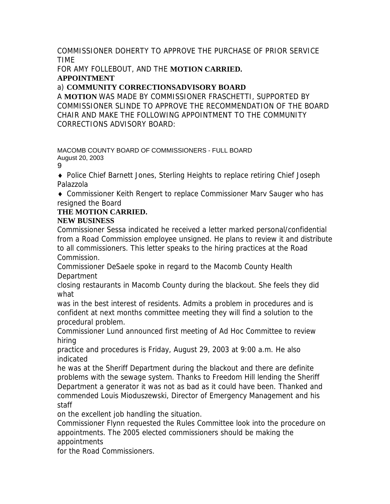COMMISSIONER DOHERTY TO APPROVE THE PURCHASE OF PRIOR SERVICE TIME

FOR AMY FOLLEBOUT, AND THE **MOTION CARRIED. APPOINTMENT** 

# a) **COMMUNITY CORRECTIONSADVISORY BOARD**

A **MOTION** WAS MADE BY COMMISSIONER FRASCHETTI, SUPPORTED BY COMMISSIONER SLINDE TO APPROVE THE RECOMMENDATION OF THE BOARD CHAIR AND MAKE THE FOLLOWING APPOINTMENT TO THE COMMUNITY CORRECTIONS ADVISORY BOARD:

MACOMB COUNTY BOARD OF COMMISSIONERS - FULL BOARD August 20, 2003

9

♦ Police Chief Barnett Jones, Sterling Heights to replace retiring Chief Joseph Palazzola

♦ Commissioner Keith Rengert to replace Commissioner Marv Sauger who has resigned the Board

# **THE MOTION CARRIED.**

## **NEW BUSINESS**

Commissioner Sessa indicated he received a letter marked personal/confidential from a Road Commission employee unsigned. He plans to review it and distribute to all commissioners. This letter speaks to the hiring practices at the Road Commission.

Commissioner DeSaele spoke in regard to the Macomb County Health **Department** 

closing restaurants in Macomb County during the blackout. She feels they did what

was in the best interest of residents. Admits a problem in procedures and is confident at next months committee meeting they will find a solution to the procedural problem.

Commissioner Lund announced first meeting of Ad Hoc Committee to review hiring

practice and procedures is Friday, August 29, 2003 at 9:00 a.m. He also indicated

he was at the Sheriff Department during the blackout and there are definite problems with the sewage system. Thanks to Freedom Hill lending the Sheriff Department a generator it was not as bad as it could have been. Thanked and commended Louis Mioduszewski, Director of Emergency Management and his staff

on the excellent job handling the situation.

Commissioner Flynn requested the Rules Committee look into the procedure on appointments. The 2005 elected commissioners should be making the appointments

for the Road Commissioners.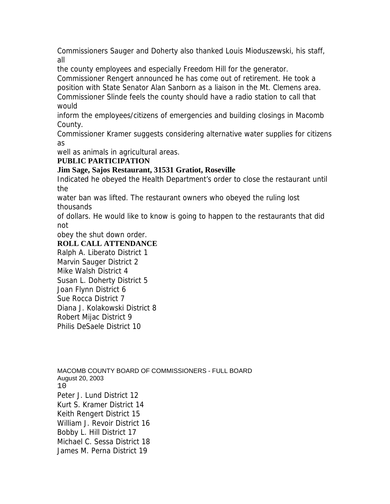Commissioners Sauger and Doherty also thanked Louis Mioduszewski, his staff, all

the county employees and especially Freedom Hill for the generator.

Commissioner Rengert announced he has come out of retirement. He took a position with State Senator Alan Sanborn as a liaison in the Mt. Clemens area. Commissioner Slinde feels the county should have a radio station to call that would

inform the employees/citizens of emergencies and building closings in Macomb County.

Commissioner Kramer suggests considering alternative water supplies for citizens as

well as animals in agricultural areas.

## **PUBLIC PARTICIPATION**

## **Jim Sage, Sajos Restaurant, 31531 Gratiot, Roseville**

Indicated he obeyed the Health Department's order to close the restaurant until the

water ban was lifted. The restaurant owners who obeyed the ruling lost thousands

of dollars. He would like to know is going to happen to the restaurants that did not

obey the shut down order.

## **ROLL CALL ATTENDANCE**

Ralph A. Liberato District 1 Marvin Sauger District 2 Mike Walsh District 4 Susan L. Doherty District 5 Joan Flynn District 6 Sue Rocca District 7 Diana J. Kolakowski District 8 Robert Mijac District 9 Philis DeSaele District 10

MACOMB COUNTY BOARD OF COMMISSIONERS - FULL BOARD August 20, 2003 10 Peter J. Lund District 12 Kurt S. Kramer District 14 Keith Rengert District 15 William J. Revoir District 16 Bobby L. Hill District 17 Michael C. Sessa District 18 James M. Perna District 19